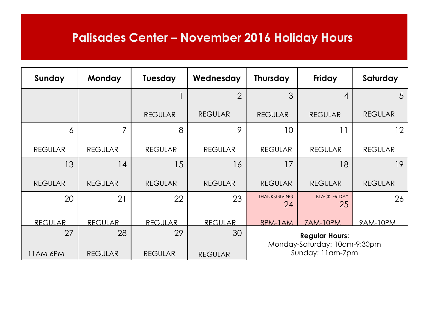## **Palisades Center – November 2016 Holiday Hours**

| Sunday         | <b>Monday</b>  | <b>Tuesday</b> | Wednesday      | <b>Thursday</b>                                       | Friday                    | Saturday       |  |
|----------------|----------------|----------------|----------------|-------------------------------------------------------|---------------------------|----------------|--|
|                |                |                | $\overline{2}$ | 3                                                     | 4                         | 5              |  |
|                |                | <b>REGULAR</b> | <b>REGULAR</b> | <b>REGULAR</b>                                        | <b>REGULAR</b>            | <b>REGULAR</b> |  |
| 6              | 7              | 8              | 9              | 10                                                    | 11                        | 12             |  |
| <b>REGULAR</b> | <b>REGULAR</b> | <b>REGULAR</b> | <b>REGULAR</b> | <b>REGULAR</b>                                        | <b>REGULAR</b>            | <b>REGULAR</b> |  |
| 13             | 14             | 15             | 16             | 17                                                    | 18                        | 19             |  |
| <b>REGULAR</b> | <b>REGULAR</b> | <b>REGULAR</b> | <b>REGULAR</b> | <b>REGULAR</b>                                        | <b>REGULAR</b>            | <b>REGULAR</b> |  |
| 20             | 21             | 22             | 23             | <b>THANKSGIVING</b><br>24                             | <b>BLACK FRIDAY</b><br>25 | 26             |  |
| <b>REGULAR</b> | <b>REGULAR</b> | <b>REGULAR</b> | <b>REGULAR</b> | 8PM-1AM                                               | <b>7AM-10PM</b>           | 9AM-10PM       |  |
| 27             | 28             | 29             | 30             | <b>Regular Hours:</b><br>Monday-Saturday: 10am-9:30pm |                           |                |  |
| 11AM-6PM       | <b>REGULAR</b> | <b>REGULAR</b> | <b>REGULAR</b> | Sunday: 11am-7pm                                      |                           |                |  |